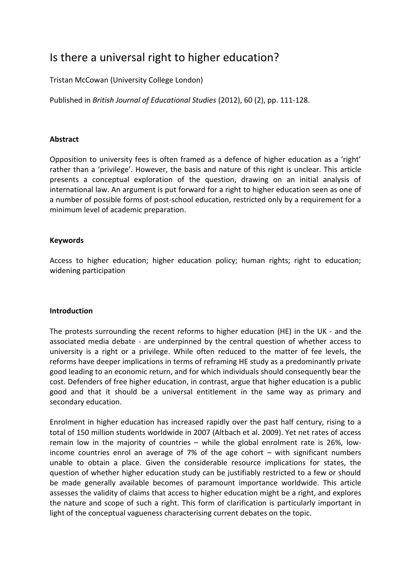# Is there a universal right to higher education?

Tristan McCowan (University College London)

Published in *British Journal of Educational Studies* (2012), 60 (2), pp. 111-128.

### **Abstract**

Opposition to university fees is often framed as a defence of higher education as a 'right' rather than a 'privilege'. However, the basis and nature of this right is unclear. This article presents a conceptual exploration of the question, drawing on an initial analysis of international law. An argument is put forward for a right to higher education seen as one of a number of possible forms of post-school education, restricted only by a requirement for a minimum level of academic preparation.

#### **Keywords**

Access to higher education; higher education policy; human rights; right to education; widening participation

#### **Introduction**

The protests surrounding the recent reforms to higher education (HE) in the UK - and the associated media debate - are underpinned by the central question of whether access to university is a right or a privilege. While often reduced to the matter of fee levels, the reforms have deeper implications in terms of reframing HE study as a predominantly private good leading to an economic return, and for which individuals should consequently bear the cost. Defenders of free higher education, in contrast, argue that higher education is a public good and that it should be a universal entitlement in the same way as primary and secondary education.

Enrolment in higher education has increased rapidly over the past half century, rising to a total of 150 million students worldwide in 2007 (Altbach et al. 2009). Yet net rates of access remain low in the majority of countries – while the global enrolment rate is 26%, lowincome countries enrol an average of 7% of the age cohort – with significant numbers unable to obtain a place. Given the considerable resource implications for states, the question of whether higher education study can be justifiably restricted to a few or should be made generally available becomes of paramount importance worldwide. This article assesses the validity of claims that access to higher education might be a right, and explores the nature and scope of such a right. This form of clarification is particularly important in light of the conceptual vagueness characterising current debates on the topic.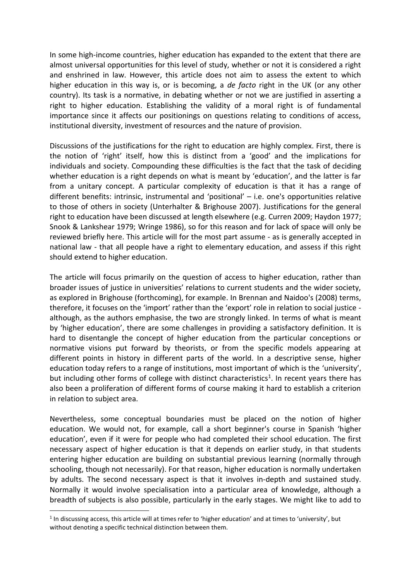In some high-income countries, higher education has expanded to the extent that there are almost universal opportunities for this level of study, whether or not it is considered a right and enshrined in law. However, this article does not aim to assess the extent to which higher education in this way is, or is becoming, a *de facto* right in the UK (or any other country). Its task is a normative, in debating whether or not we are justified in asserting a right to higher education. Establishing the validity of a moral right is of fundamental importance since it affects our positionings on questions relating to conditions of access, institutional diversity, investment of resources and the nature of provision.

Discussions of the justifications for the right to education are highly complex. First, there is the notion of 'right' itself, how this is distinct from a 'good' and the implications for individuals and society. Compounding these difficulties is the fact that the task of deciding whether education is a right depends on what is meant by 'education', and the latter is far from a unitary concept. A particular complexity of education is that it has a range of different benefits: intrinsic, instrumental and 'positional' – i.e. one's opportunities relative to those of others in society (Unterhalter & Brighouse 2007). Justifications for the general right to education have been discussed at length elsewhere (e.g. Curren 2009; Haydon 1977; Snook & Lankshear 1979; Wringe 1986), so for this reason and for lack of space will only be reviewed briefly here. This article will for the most part assume - as is generally accepted in national law - that all people have a right to elementary education, and assess if this right should extend to higher education.

The article will focus primarily on the question of access to higher education, rather than broader issues of justice in universities' relations to current students and the wider society, as explored in Brighouse (forthcoming), for example. In Brennan and Naidoo's (2008) terms, therefore, it focuses on the 'import' rather than the 'export' role in relation to social justice although, as the authors emphasise, the two are strongly linked. In terms of what is meant by 'higher education', there are some challenges in providing a satisfactory definition. It is hard to disentangle the concept of higher education from the particular conceptions or normative visions put forward by theorists, or from the specific models appearing at different points in history in different parts of the world. In a descriptive sense, higher education today refers to a range of institutions, most important of which is the 'university', but including other forms of college with distinct characteristics<sup>1</sup>. In recent years there has also been a proliferation of different forms of course making it hard to establish a criterion in relation to subject area.

Nevertheless, some conceptual boundaries must be placed on the notion of higher education. We would not, for example, call a short beginner's course in Spanish 'higher education', even if it were for people who had completed their school education. The first necessary aspect of higher education is that it depends on earlier study, in that students entering higher education are building on substantial previous learning (normally through schooling, though not necessarily). For that reason, higher education is normally undertaken by adults. The second necessary aspect is that it involves in-depth and sustained study. Normally it would involve specialisation into a particular area of knowledge, although a breadth of subjects is also possible, particularly in the early stages. We might like to add to

1

<sup>&</sup>lt;sup>1</sup> In discussing access, this article will at times refer to 'higher education' and at times to 'university', but without denoting a specific technical distinction between them.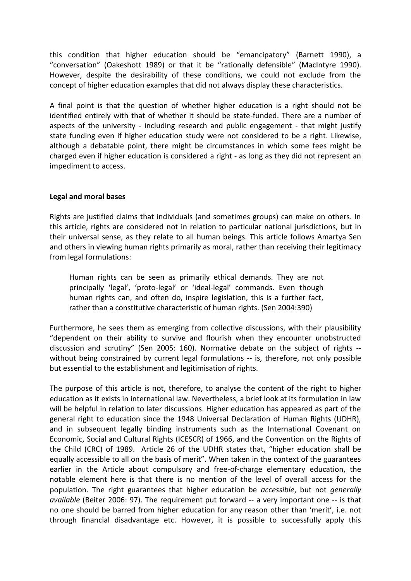this condition that higher education should be "emancipatory" (Barnett 1990), a "conversation" (Oakeshott 1989) or that it be "rationally defensible" (MacIntyre 1990). However, despite the desirability of these conditions, we could not exclude from the concept of higher education examples that did not always display these characteristics.

A final point is that the question of whether higher education is a right should not be identified entirely with that of whether it should be state-funded. There are a number of aspects of the university - including research and public engagement - that might justify state funding even if higher education study were not considered to be a right. Likewise, although a debatable point, there might be circumstances in which some fees might be charged even if higher education is considered a right - as long as they did not represent an impediment to access.

### **Legal and moral bases**

Rights are justified claims that individuals (and sometimes groups) can make on others. In this article, rights are considered not in relation to particular national jurisdictions, but in their universal sense, as they relate to all human beings. This article follows Amartya Sen and others in viewing human rights primarily as moral, rather than receiving their legitimacy from legal formulations:

Human rights can be seen as primarily ethical demands. They are not principally 'legal', 'proto-legal' or 'ideal-legal' commands. Even though human rights can, and often do, inspire legislation, this is a further fact, rather than a constitutive characteristic of human rights. (Sen 2004:390)

Furthermore, he sees them as emerging from collective discussions, with their plausibility "dependent on their ability to survive and flourish when they encounter unobstructed discussion and scrutiny" (Sen 2005: 160). Normative debate on the subject of rights - without being constrained by current legal formulations -- is, therefore, not only possible but essential to the establishment and legitimisation of rights.

The purpose of this article is not, therefore, to analyse the content of the right to higher education as it exists in international law. Nevertheless, a brief look at its formulation in law will be helpful in relation to later discussions. Higher education has appeared as part of the general right to education since the 1948 Universal Declaration of Human Rights (UDHR), and in subsequent legally binding instruments such as the International Covenant on Economic, Social and Cultural Rights (ICESCR) of 1966, and the Convention on the Rights of the Child (CRC) of 1989. Article 26 of the UDHR states that, "higher education shall be equally accessible to all on the basis of merit". When taken in the context of the guarantees earlier in the Article about compulsory and free-of-charge elementary education, the notable element here is that there is no mention of the level of overall access for the population. The right guarantees that higher education be *accessible*, but not *generally available* (Beiter 2006: 97). The requirement put forward -- a very important one -- is that no one should be barred from higher education for any reason other than 'merit', i.e. not through financial disadvantage etc. However, it is possible to successfully apply this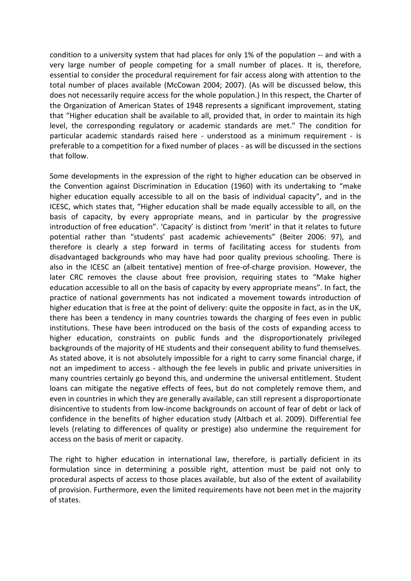condition to a university system that had places for only 1% of the population -- and with a very large number of people competing for a small number of places. It is, therefore, essential to consider the procedural requirement for fair access along with attention to the total number of places available (McCowan 2004; 2007). (As will be discussed below, this does not necessarily require access for the whole population.) In this respect, the Charter of the Organization of American States of 1948 represents a significant improvement, stating that "Higher education shall be available to all, provided that, in order to maintain its high level, the corresponding regulatory or academic standards are met." The condition for particular academic standards raised here - understood as a minimum requirement - is preferable to a competition for a fixed number of places - as will be discussed in the sections that follow.

Some developments in the expression of the right to higher education can be observed in the Convention against Discrimination in Education (1960) with its undertaking to "make higher education equally accessible to all on the basis of individual capacity", and in the ICESC, which states that, "Higher education shall be made equally accessible to all, on the basis of capacity, by every appropriate means, and in particular by the progressive introduction of free education". 'Capacity' is distinct from 'merit' in that it relates to future potential rather than "students' past academic achievements" (Beiter 2006: 97), and therefore is clearly a step forward in terms of facilitating access for students from disadvantaged backgrounds who may have had poor quality previous schooling. There is also in the ICESC an (albeit tentative) mention of free-of-charge provision. However, the later CRC removes the clause about free provision, requiring states to "Make higher education accessible to all on the basis of capacity by every appropriate means". In fact, the practice of national governments has not indicated a movement towards introduction of higher education that is free at the point of delivery: quite the opposite in fact, as in the UK, there has been a tendency in many countries towards the charging of fees even in public institutions. These have been introduced on the basis of the costs of expanding access to higher education, constraints on public funds and the disproportionately privileged backgrounds of the majority of HE students and their consequent ability to fund themselves. As stated above, it is not absolutely impossible for a right to carry some financial charge, if not an impediment to access - although the fee levels in public and private universities in many countries certainly go beyond this, and undermine the universal entitlement. Student loans can mitigate the negative effects of fees, but do not completely remove them, and even in countries in which they are generally available, can still represent a disproportionate disincentive to students from low-income backgrounds on account of fear of debt or lack of confidence in the benefits of higher education study (Altbach et al. 2009). Differential fee levels (relating to differences of quality or prestige) also undermine the requirement for access on the basis of merit or capacity.

The right to higher education in international law, therefore, is partially deficient in its formulation since in determining a possible right, attention must be paid not only to procedural aspects of access to those places available, but also of the extent of availability of provision. Furthermore, even the limited requirements have not been met in the majority of states.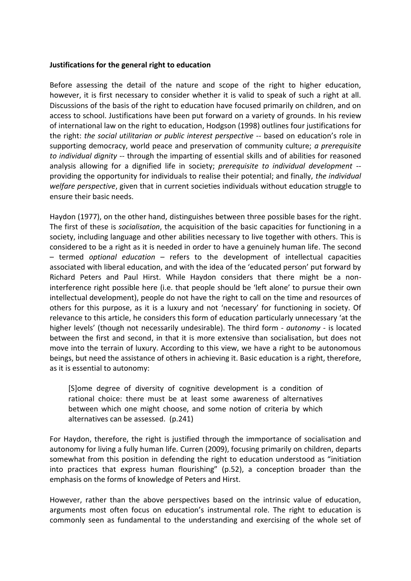#### **Justifications for the general right to education**

Before assessing the detail of the nature and scope of the right to higher education, however, it is first necessary to consider whether it is valid to speak of such a right at all. Discussions of the basis of the right to education have focused primarily on children, and on access to school. Justifications have been put forward on a variety of grounds. In his review of international law on the right to education, Hodgson (1998) outlines four justifications for the right: *the social utilitarian or public interest perspective* -- based on education's role in supporting democracy, world peace and preservation of community culture; *a prerequisite to individual dignity* -- through the imparting of essential skills and of abilities for reasoned analysis allowing for a dignified life in society; *prerequisite to individual development* - providing the opportunity for individuals to realise their potential; and finally, *the individual welfare perspective*, given that in current societies individuals without education struggle to ensure their basic needs.

Haydon (1977), on the other hand, distinguishes between three possible bases for the right. The first of these is *socialisation*, the acquisition of the basic capacities for functioning in a society, including language and other abilities necessary to live together with others. This is considered to be a right as it is needed in order to have a genuinely human life. The second – termed *optional education* – refers to the development of intellectual capacities associated with liberal education, and with the idea of the 'educated person' put forward by Richard Peters and Paul Hirst. While Haydon considers that there might be a noninterference right possible here (i.e. that people should be 'left alone' to pursue their own intellectual development), people do not have the right to call on the time and resources of others for this purpose, as it is a luxury and not 'necessary' for functioning in society. Of relevance to this article, he considers this form of education particularly unnecessary 'at the higher levels' (though not necessarily undesirable). The third form - *autonomy* - is located between the first and second, in that it is more extensive than socialisation, but does not move into the terrain of luxury. According to this view, we have a right to be autonomous beings, but need the assistance of others in achieving it. Basic education is a right, therefore, as it is essential to autonomy:

[S]ome degree of diversity of cognitive development is a condition of rational choice: there must be at least some awareness of alternatives between which one might choose, and some notion of criteria by which alternatives can be assessed. (p.241)

For Haydon, therefore, the right is justified through the immportance of socialisation and autonomy for living a fully human life. Curren (2009), focusing primarily on children, departs somewhat from this position in defending the right to education understood as "initiation into practices that express human flourishing" (p.52), a conception broader than the emphasis on the forms of knowledge of Peters and Hirst.

However, rather than the above perspectives based on the intrinsic value of education, arguments most often focus on education's instrumental role. The right to education is commonly seen as fundamental to the understanding and exercising of the whole set of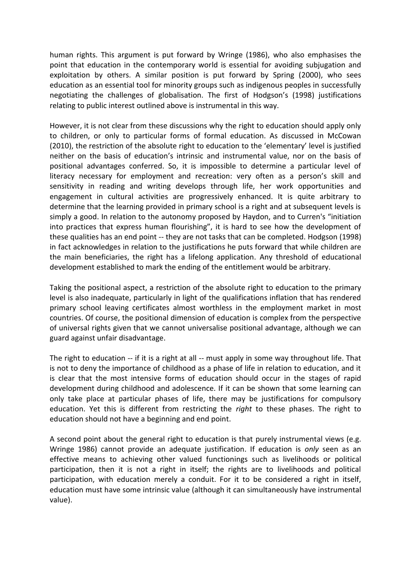human rights. This argument is put forward by Wringe (1986), who also emphasises the point that education in the contemporary world is essential for avoiding subjugation and exploitation by others. A similar position is put forward by Spring (2000), who sees education as an essential tool for minority groups such as indigenous peoples in successfully negotiating the challenges of globalisation. The first of Hodgson's (1998) justifications relating to public interest outlined above is instrumental in this way.

However, it is not clear from these discussions why the right to education should apply only to children, or only to particular forms of formal education. As discussed in McCowan (2010), the restriction of the absolute right to education to the 'elementary' level is justified neither on the basis of education's intrinsic and instrumental value, nor on the basis of positional advantages conferred. So, it is impossible to determine a particular level of literacy necessary for employment and recreation: very often as a person's skill and sensitivity in reading and writing develops through life, her work opportunities and engagement in cultural activities are progressively enhanced. It is quite arbitrary to determine that the learning provided in primary school is a right and at subsequent levels is simply a good. In relation to the autonomy proposed by Haydon, and to Curren's "initiation into practices that express human flourishing", it is hard to see how the development of these qualities has an end point -- they are not tasks that can be completed. Hodgson (1998) in fact acknowledges in relation to the justifications he puts forward that while children are the main beneficiaries, the right has a lifelong application. Any threshold of educational development established to mark the ending of the entitlement would be arbitrary.

Taking the positional aspect, a restriction of the absolute right to education to the primary level is also inadequate, particularly in light of the qualifications inflation that has rendered primary school leaving certificates almost worthless in the employment market in most countries. Of course, the positional dimension of education is complex from the perspective of universal rights given that we cannot universalise positional advantage, although we can guard against unfair disadvantage.

The right to education -- if it is a right at all -- must apply in some way throughout life. That is not to deny the importance of childhood as a phase of life in relation to education, and it is clear that the most intensive forms of education should occur in the stages of rapid development during childhood and adolescence. If it can be shown that some learning can only take place at particular phases of life, there may be justifications for compulsory education. Yet this is different from restricting the *right* to these phases. The right to education should not have a beginning and end point.

A second point about the general right to education is that purely instrumental views (e.g. Wringe 1986) cannot provide an adequate justification. If education is *only* seen as an effective means to achieving other valued functionings such as livelihoods or political participation, then it is not a right in itself; the rights are to livelihoods and political participation, with education merely a conduit. For it to be considered a right in itself, education must have some intrinsic value (although it can simultaneously have instrumental value).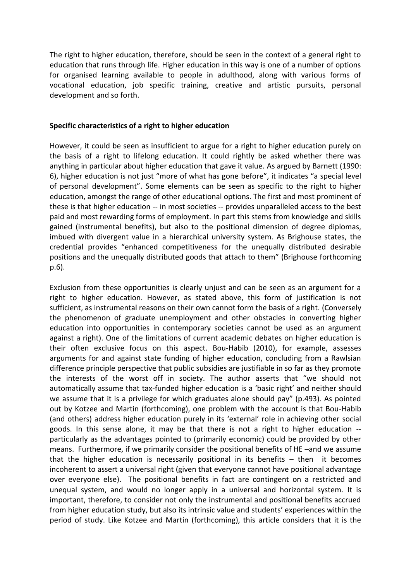The right to higher education, therefore, should be seen in the context of a general right to education that runs through life. Higher education in this way is one of a number of options for organised learning available to people in adulthood, along with various forms of vocational education, job specific training, creative and artistic pursuits, personal development and so forth.

#### **Specific characteristics of a right to higher education**

However, it could be seen as insufficient to argue for a right to higher education purely on the basis of a right to lifelong education. It could rightly be asked whether there was anything in particular about higher education that gave it value. As argued by Barnett (1990: 6), higher education is not just "more of what has gone before", it indicates "a special level of personal development". Some elements can be seen as specific to the right to higher education, amongst the range of other educational options. The first and most prominent of these is that higher education -- in most societies -- provides unparalleled access to the best paid and most rewarding forms of employment. In part this stems from knowledge and skills gained (instrumental benefits), but also to the positional dimension of degree diplomas, imbued with divergent value in a hierarchical university system. As Brighouse states, the credential provides "enhanced competitiveness for the unequally distributed desirable positions and the unequally distributed goods that attach to them" (Brighouse forthcoming p.6).

Exclusion from these opportunities is clearly unjust and can be seen as an argument for a right to higher education. However, as stated above, this form of justification is not sufficient, as instrumental reasons on their own cannot form the basis of a right. (Conversely the phenomenon of graduate unemployment and other obstacles in converting higher education into opportunities in contemporary societies cannot be used as an argument against a right). One of the limitations of current academic debates on higher education is their often exclusive focus on this aspect. Bou-Habib (2010), for example, assesses arguments for and against state funding of higher education, concluding from a Rawlsian difference principle perspective that public subsidies are justifiable in so far as they promote the interests of the worst off in society. The author asserts that "we should not automatically assume that tax-funded higher education is a 'basic right' and neither should we assume that it is a privilege for which graduates alone should pay" (p.493). As pointed out by Kotzee and Martin (forthcoming), one problem with the account is that Bou-Habib (and others) address higher education purely in its 'external' role in achieving other social goods. In this sense alone, it may be that there is not a right to higher education - particularly as the advantages pointed to (primarily economic) could be provided by other means. Furthermore, if we primarily consider the positional benefits of HE –and we assume that the higher education is necessarily positional in its benefits  $-$  then it becomes incoherent to assert a universal right (given that everyone cannot have positional advantage over everyone else). The positional benefits in fact are contingent on a restricted and unequal system, and would no longer apply in a universal and horizontal system. It is important, therefore, to consider not only the instrumental and positional benefits accrued from higher education study, but also its intrinsic value and students' experiences within the period of study. Like Kotzee and Martin (forthcoming), this article considers that it is the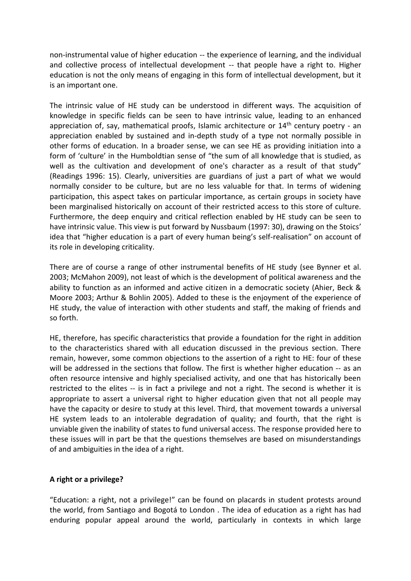non-instrumental value of higher education -- the experience of learning, and the individual and collective process of intellectual development -- that people have a right to. Higher education is not the only means of engaging in this form of intellectual development, but it is an important one.

The intrinsic value of HE study can be understood in different ways. The acquisition of knowledge in specific fields can be seen to have intrinsic value, leading to an enhanced appreciation of, say, mathematical proofs, Islamic architecture or  $14<sup>th</sup>$  century poetry - an appreciation enabled by sustained and in-depth study of a type not normally possible in other forms of education. In a broader sense, we can see HE as providing initiation into a form of 'culture' in the Humboldtian sense of "the sum of all knowledge that is studied, as well as the cultivation and development of one's character as a result of that study" (Readings 1996: 15). Clearly, universities are guardians of just a part of what we would normally consider to be culture, but are no less valuable for that. In terms of widening participation, this aspect takes on particular importance, as certain groups in society have been marginalised historically on account of their restricted access to this store of culture. Furthermore, the deep enquiry and critical reflection enabled by HE study can be seen to have intrinsic value. This view is put forward by Nussbaum (1997: 30), drawing on the Stoics' idea that "higher education is a part of every human being's self-realisation" on account of its role in developing criticality.

There are of course a range of other instrumental benefits of HE study (see Bynner et al. 2003; McMahon 2009), not least of which is the development of political awareness and the ability to function as an informed and active citizen in a democratic society (Ahier, Beck & Moore 2003; Arthur & Bohlin 2005). Added to these is the enjoyment of the experience of HE study, the value of interaction with other students and staff, the making of friends and so forth.

HE, therefore, has specific characteristics that provide a foundation for the right in addition to the characteristics shared with all education discussed in the previous section. There remain, however, some common objections to the assertion of a right to HE: four of these will be addressed in the sections that follow. The first is whether higher education -- as an often resource intensive and highly specialised activity, and one that has historically been restricted to the elites -- is in fact a privilege and not a right. The second is whether it is appropriate to assert a universal right to higher education given that not all people may have the capacity or desire to study at this level. Third, that movement towards a universal HE system leads to an intolerable degradation of quality; and fourth, that the right is unviable given the inability of states to fund universal access. The response provided here to these issues will in part be that the questions themselves are based on misunderstandings of and ambiguities in the idea of a right.

#### **A right or a privilege?**

"Education: a right, not a privilege!" can be found on placards in student protests around the world, from Santiago and Bogotá to London . The idea of education as a right has had enduring popular appeal around the world, particularly in contexts in which large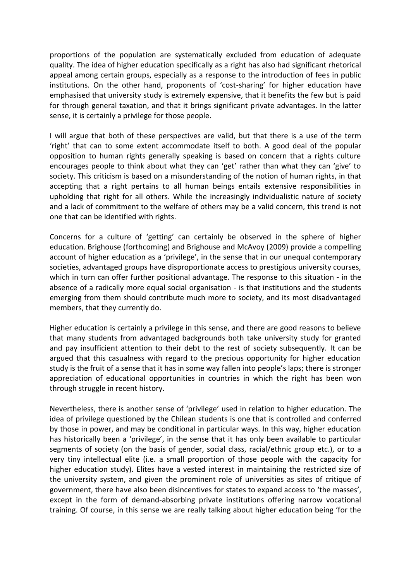proportions of the population are systematically excluded from education of adequate quality. The idea of higher education specifically as a right has also had significant rhetorical appeal among certain groups, especially as a response to the introduction of fees in public institutions. On the other hand, proponents of 'cost-sharing' for higher education have emphasised that university study is extremely expensive, that it benefits the few but is paid for through general taxation, and that it brings significant private advantages. In the latter sense, it is certainly a privilege for those people.

I will argue that both of these perspectives are valid, but that there is a use of the term 'right' that can to some extent accommodate itself to both. A good deal of the popular opposition to human rights generally speaking is based on concern that a rights culture encourages people to think about what they can 'get' rather than what they can 'give' to society. This criticism is based on a misunderstanding of the notion of human rights, in that accepting that a right pertains to all human beings entails extensive responsibilities in upholding that right for all others. While the increasingly individualistic nature of society and a lack of commitment to the welfare of others may be a valid concern, this trend is not one that can be identified with rights.

Concerns for a culture of 'getting' can certainly be observed in the sphere of higher education. Brighouse (forthcoming) and Brighouse and McAvoy (2009) provide a compelling account of higher education as a 'privilege', in the sense that in our unequal contemporary societies, advantaged groups have disproportionate access to prestigious university courses, which in turn can offer further positional advantage. The response to this situation - in the absence of a radically more equal social organisation - is that institutions and the students emerging from them should contribute much more to society, and its most disadvantaged members, that they currently do.

Higher education is certainly a privilege in this sense, and there are good reasons to believe that many students from advantaged backgrounds both take university study for granted and pay insufficient attention to their debt to the rest of society subsequently. It can be argued that this casualness with regard to the precious opportunity for higher education study is the fruit of a sense that it has in some way fallen into people's laps; there is stronger appreciation of educational opportunities in countries in which the right has been won through struggle in recent history.

Nevertheless, there is another sense of 'privilege' used in relation to higher education. The idea of privilege questioned by the Chilean students is one that is controlled and conferred by those in power, and may be conditional in particular ways. In this way, higher education has historically been a 'privilege', in the sense that it has only been available to particular segments of society (on the basis of gender, social class, racial/ethnic group etc.), or to a very tiny intellectual elite (i.e. a small proportion of those people with the capacity for higher education study). Elites have a vested interest in maintaining the restricted size of the university system, and given the prominent role of universities as sites of critique of government, there have also been disincentives for states to expand access to 'the masses', except in the form of demand-absorbing private institutions offering narrow vocational training. Of course, in this sense we are really talking about higher education being 'for the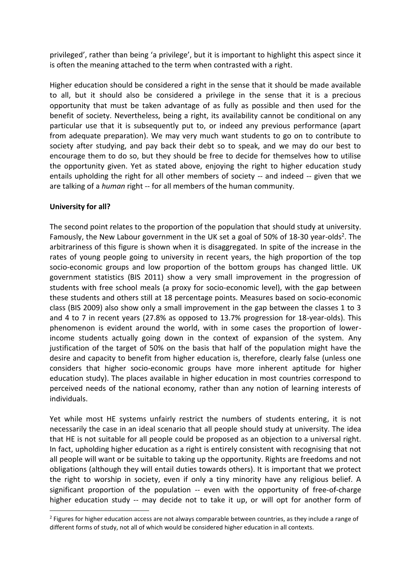privileged', rather than being 'a privilege', but it is important to highlight this aspect since it is often the meaning attached to the term when contrasted with a right.

Higher education should be considered a right in the sense that it should be made available to all, but it should also be considered a privilege in the sense that it is a precious opportunity that must be taken advantage of as fully as possible and then used for the benefit of society. Nevertheless, being a right, its availability cannot be conditional on any particular use that it is subsequently put to, or indeed any previous performance (apart from adequate preparation). We may very much want students to go on to contribute to society after studying, and pay back their debt so to speak, and we may do our best to encourage them to do so, but they should be free to decide for themselves how to utilise the opportunity given. Yet as stated above, enjoying the right to higher education study entails upholding the right for all other members of society -- and indeed -- given that we are talking of a *human* right -- for all members of the human community.

### **University for all?**

1

The second point relates to the proportion of the population that should study at university. Famously, the New Labour government in the UK set a goal of 50% of 18-30 year-olds<sup>2</sup>. The arbitrariness of this figure is shown when it is disaggregated. In spite of the increase in the rates of young people going to university in recent years, the high proportion of the top socio-economic groups and low proportion of the bottom groups has changed little. UK government statistics (BIS 2011) show a very small improvement in the progression of students with free school meals (a proxy for socio-economic level), with the gap between these students and others still at 18 percentage points. Measures based on socio-economic class (BIS 2009) also show only a small improvement in the gap between the classes 1 to 3 and 4 to 7 in recent years (27.8% as opposed to 13.7% progression for 18-year-olds). This phenomenon is evident around the world, with in some cases the proportion of lowerincome students actually going down in the context of expansion of the system. Any justification of the target of 50% on the basis that half of the population might have the desire and capacity to benefit from higher education is, therefore, clearly false (unless one considers that higher socio-economic groups have more inherent aptitude for higher education study). The places available in higher education in most countries correspond to perceived needs of the national economy, rather than any notion of learning interests of individuals.

Yet while most HE systems unfairly restrict the numbers of students entering, it is not necessarily the case in an ideal scenario that all people should study at university. The idea that HE is not suitable for all people could be proposed as an objection to a universal right. In fact, upholding higher education as a right is entirely consistent with recognising that not all people will want or be suitable to taking up the opportunity. Rights are freedoms and not obligations (although they will entail duties towards others). It is important that we protect the right to worship in society, even if only a tiny minority have any religious belief. A significant proportion of the population -- even with the opportunity of free-of-charge higher education study -- may decide not to take it up, or will opt for another form of

<sup>&</sup>lt;sup>2</sup> Figures for higher education access are not always comparable between countries, as they include a range of different forms of study, not all of which would be considered higher education in all contexts.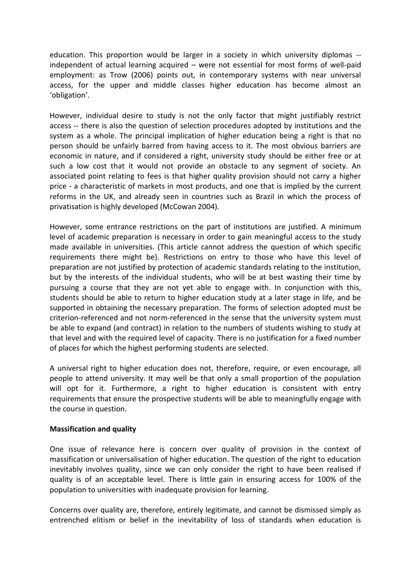education. This proportion would be larger in a society in which university diplomas - independent of actual learning acquired – were not essential for most forms of well-paid employment: as Trow (2006) points out, in contemporary systems with near universal access, for the upper and middle classes higher education has become almost an 'obligation'.

However, individual desire to study is not the only factor that might justifiably restrict access -- there is also the question of selection procedures adopted by institutions and the system as a whole. The principal implication of higher education being a right is that no person should be unfairly barred from having access to it. The most obvious barriers are economic in nature, and if considered a right, university study should be either free or at such a low cost that it would not provide an obstacle to any segment of society. An associated point relating to fees is that higher quality provision should not carry a higher price - a characteristic of markets in most products, and one that is implied by the current reforms in the UK, and already seen in countries such as Brazil in which the process of privatisation is highly developed (McCowan 2004).

However, some entrance restrictions on the part of institutions are justified. A minimum level of academic preparation is necessary in order to gain meaningful access to the study made available in universities. (This article cannot address the question of which specific requirements there might be). Restrictions on entry to those who have this level of preparation are not justified by protection of academic standards relating to the institution, but by the interests of the individual students, who will be at best wasting their time by pursuing a course that they are not yet able to engage with. In conjunction with this, students should be able to return to higher education study at a later stage in life, and be supported in obtaining the necessary preparation. The forms of selection adopted must be criterion-referenced and not norm-referenced in the sense that the university system must be able to expand (and contract) in relation to the numbers of students wishing to study at that level and with the required level of capacity. There is no justification for a fixed number of places for which the highest performing students are selected.

A universal right to higher education does not, therefore, require, or even encourage, all people to attend university. It may well be that only a small proportion of the population will opt for it. Furthermore, a right to higher education is consistent with entry requirements that ensure the prospective students will be able to meaningfully engage with the course in question.

#### **Massification and quality**

One issue of relevance here is concern over quality of provision in the context of massification or universalisation of higher education. The question of the right to education inevitably involves quality, since we can only consider the right to have been realised if quality is of an acceptable level. There is little gain in ensuring access for 100% of the population to universities with inadequate provision for learning.

Concerns over quality are, therefore, entirely legitimate, and cannot be dismissed simply as entrenched elitism or belief in the inevitability of loss of standards when education is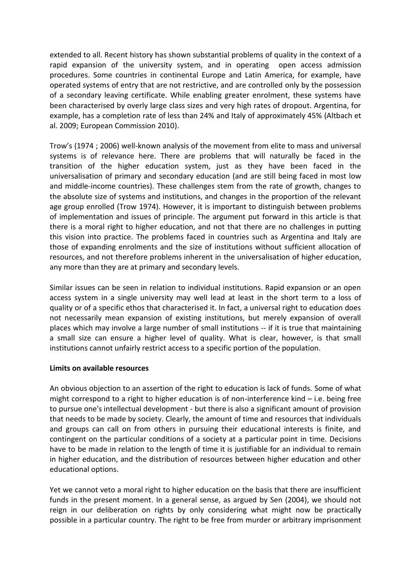extended to all. Recent history has shown substantial problems of quality in the context of a rapid expansion of the university system, and in operating open access admission procedures. Some countries in continental Europe and Latin America, for example, have operated systems of entry that are not restrictive, and are controlled only by the possession of a secondary leaving certificate. While enabling greater enrolment, these systems have been characterised by overly large class sizes and very high rates of dropout. Argentina, for example, has a completion rate of less than 24% and Italy of approximately 45% (Altbach et al. 2009; European Commission 2010).

Trow's (1974 ; 2006) well-known analysis of the movement from elite to mass and universal systems is of relevance here. There are problems that will naturally be faced in the transition of the higher education system, just as they have been faced in the universalisation of primary and secondary education (and are still being faced in most low and middle-income countries). These challenges stem from the rate of growth, changes to the absolute size of systems and institutions, and changes in the proportion of the relevant age group enrolled (Trow 1974). However, it is important to distinguish between problems of implementation and issues of principle. The argument put forward in this article is that there is a moral right to higher education, and not that there are no challenges in putting this vision into practice. The problems faced in countries such as Argentina and Italy are those of expanding enrolments and the size of institutions without sufficient allocation of resources, and not therefore problems inherent in the universalisation of higher education, any more than they are at primary and secondary levels.

Similar issues can be seen in relation to individual institutions. Rapid expansion or an open access system in a single university may well lead at least in the short term to a loss of quality or of a specific ethos that characterised it. In fact, a universal right to education does not necessarily mean expansion of existing institutions, but merely expansion of overall places which may involve a large number of small institutions -- if it is true that maintaining a small size can ensure a higher level of quality. What is clear, however, is that small institutions cannot unfairly restrict access to a specific portion of the population.

#### **Limits on available resources**

An obvious objection to an assertion of the right to education is lack of funds. Some of what might correspond to a right to higher education is of non-interference kind  $-$  i.e. being free to pursue one's intellectual development - but there is also a significant amount of provision that needs to be made by society. Clearly, the amount of time and resources that individuals and groups can call on from others in pursuing their educational interests is finite, and contingent on the particular conditions of a society at a particular point in time. Decisions have to be made in relation to the length of time it is justifiable for an individual to remain in higher education, and the distribution of resources between higher education and other educational options.

Yet we cannot veto a moral right to higher education on the basis that there are insufficient funds in the present moment. In a general sense, as argued by Sen (2004), we should not reign in our deliberation on rights by only considering what might now be practically possible in a particular country. The right to be free from murder or arbitrary imprisonment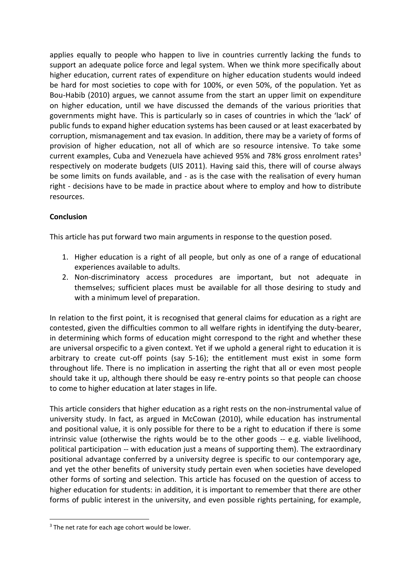applies equally to people who happen to live in countries currently lacking the funds to support an adequate police force and legal system. When we think more specifically about higher education, current rates of expenditure on higher education students would indeed be hard for most societies to cope with for 100%, or even 50%, of the population. Yet as Bou-Habib (2010) argues, we cannot assume from the start an upper limit on expenditure on higher education, until we have discussed the demands of the various priorities that governments might have. This is particularly so in cases of countries in which the 'lack' of public funds to expand higher education systems has been caused or at least exacerbated by corruption, mismanagement and tax evasion. In addition, there may be a variety of forms of provision of higher education, not all of which are so resource intensive. To take some current examples, Cuba and Venezuela have achieved 95% and 78% gross enrolment rates<sup>3</sup> respectively on moderate budgets (UIS 2011). Having said this, there will of course always be some limits on funds available, and - as is the case with the realisation of every human right - decisions have to be made in practice about where to employ and how to distribute resources.

## **Conclusion**

This article has put forward two main arguments in response to the question posed.

- 1. Higher education is a right of all people, but only as one of a range of educational experiences available to adults.
- 2. Non-discriminatory access procedures are important, but not adequate in themselves; sufficient places must be available for all those desiring to study and with a minimum level of preparation.

In relation to the first point, it is recognised that general claims for education as a right are contested, given the difficulties common to all welfare rights in identifying the duty-bearer, in determining which forms of education might correspond to the right and whether these are universal orspecific to a given context. Yet if we uphold a general right to education it is arbitrary to create cut-off points (say 5-16); the entitlement must exist in some form throughout life. There is no implication in asserting the right that all or even most people should take it up, although there should be easy re-entry points so that people can choose to come to higher education at later stages in life.

This article considers that higher education as a right rests on the non-instrumental value of university study. In fact, as argued in McCowan (2010), while education has instrumental and positional value, it is only possible for there to be a right to education if there is some intrinsic value (otherwise the rights would be to the other goods -- e.g. viable livelihood, political participation -- with education just a means of supporting them). The extraordinary positional advantage conferred by a university degree is specific to our contemporary age, and yet the other benefits of university study pertain even when societies have developed other forms of sorting and selection. This article has focused on the question of access to higher education for students: in addition, it is important to remember that there are other forms of public interest in the university, and even possible rights pertaining, for example,

**.** 

 $3$  The net rate for each age cohort would be lower.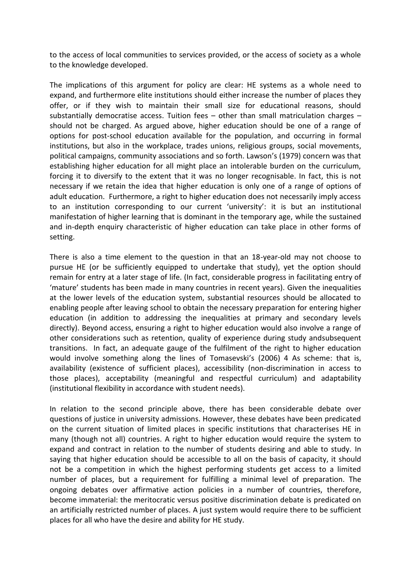to the access of local communities to services provided, or the access of society as a whole to the knowledge developed.

The implications of this argument for policy are clear: HE systems as a whole need to expand, and furthermore elite institutions should either increase the number of places they offer, or if they wish to maintain their small size for educational reasons, should substantially democratise access. Tuition fees  $-$  other than small matriculation charges  $$ should not be charged. As argued above, higher education should be one of a range of options for post-school education available for the population, and occurring in formal institutions, but also in the workplace, trades unions, religious groups, social movements, political campaigns, community associations and so forth. Lawson's (1979) concern was that establishing higher education for all might place an intolerable burden on the curriculum, forcing it to diversify to the extent that it was no longer recognisable. In fact, this is not necessary if we retain the idea that higher education is only one of a range of options of adult education. Furthermore, a right to higher education does not necessarily imply access to an institution corresponding to our current 'university': it is but an institutional manifestation of higher learning that is dominant in the temporary age, while the sustained and in-depth enquiry characteristic of higher education can take place in other forms of setting.

There is also a time element to the question in that an 18-year-old may not choose to pursue HE (or be sufficiently equipped to undertake that study), yet the option should remain for entry at a later stage of life. (In fact, considerable progress in facilitating entry of 'mature' students has been made in many countries in recent years). Given the inequalities at the lower levels of the education system, substantial resources should be allocated to enabling people after leaving school to obtain the necessary preparation for entering higher education (in addition to addressing the inequalities at primary and secondary levels directly). Beyond access, ensuring a right to higher education would also involve a range of other considerations such as retention, quality of experience during study andsubsequent transitions. In fact, an adequate gauge of the fulfilment of the right to higher education would involve something along the lines of Tomasevski's (2006) 4 As scheme: that is, availability (existence of sufficient places), accessibility (non-discrimination in access to those places), acceptability (meaningful and respectful curriculum) and adaptability (institutional flexibility in accordance with student needs).

In relation to the second principle above, there has been considerable debate over questions of justice in university admissions. However, these debates have been predicated on the current situation of limited places in specific institutions that characterises HE in many (though not all) countries. A right to higher education would require the system to expand and contract in relation to the number of students desiring and able to study. In saying that higher education should be accessible to all on the basis of capacity, it should not be a competition in which the highest performing students get access to a limited number of places, but a requirement for fulfilling a minimal level of preparation. The ongoing debates over affirmative action policies in a number of countries, therefore, become immaterial: the meritocratic versus positive discrimination debate is predicated on an artificially restricted number of places. A just system would require there to be sufficient places for all who have the desire and ability for HE study.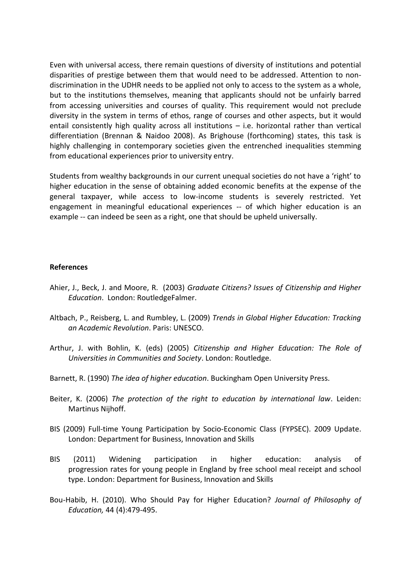Even with universal access, there remain questions of diversity of institutions and potential disparities of prestige between them that would need to be addressed. Attention to nondiscrimination in the UDHR needs to be applied not only to access to the system as a whole, but to the institutions themselves, meaning that applicants should not be unfairly barred from accessing universities and courses of quality. This requirement would not preclude diversity in the system in terms of ethos, range of courses and other aspects, but it would entail consistently high quality across all institutions – i.e. horizontal rather than vertical differentiation (Brennan & Naidoo 2008). As Brighouse (forthcoming) states, this task is highly challenging in contemporary societies given the entrenched inequalities stemming from educational experiences prior to university entry.

Students from wealthy backgrounds in our current unequal societies do not have a 'right' to higher education in the sense of obtaining added economic benefits at the expense of the general taxpayer, while access to low-income students is severely restricted. Yet engagement in meaningful educational experiences -- of which higher education is an example -- can indeed be seen as a right, one that should be upheld universally.

#### **References**

- Ahier, J., Beck, J. and Moore, R. (2003) *Graduate Citizens? Issues of Citizenship and Higher Education*. London: RoutledgeFalmer.
- Altbach, P., Reisberg, L. and Rumbley, L. (2009) *Trends in Global Higher Education: Tracking an Academic Revolution*. Paris: UNESCO.
- Arthur, J. with Bohlin, K. (eds) (2005) *Citizenship and Higher Education: The Role of Universities in Communities and Society*. London: Routledge.
- Barnett, R. (1990) *The idea of higher education*. Buckingham Open University Press.
- Beiter, K. (2006) *The protection of the right to education by international law*. Leiden: Martinus Nijhoff.
- BIS (2009) Full-time Young Participation by Socio-Economic Class (FYPSEC). 2009 Update. London: Department for Business, Innovation and Skills
- BIS (2011) Widening participation in higher education: analysis of progression rates for young people in England by free school meal receipt and school type. London: Department for Business, Innovation and Skills
- [Bou-Habib,](http://philpapers.org/s/Paul%20Bou-habib) H. (2010). Who Should Pay for Higher Education? *Journal of Philosophy of Education,* 44 (4):479-495.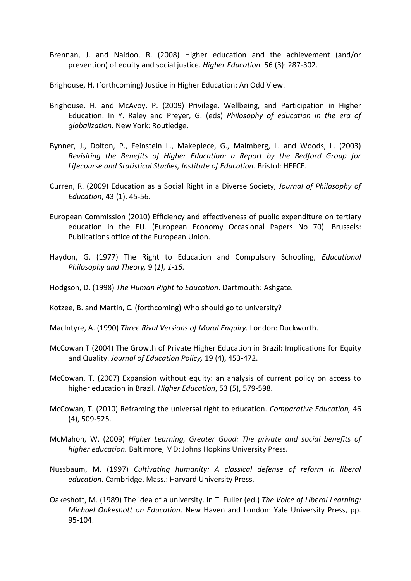Brennan, J. and Naidoo, R. (2008) Higher education and the achievement (and/or prevention) of equity and social justice. *Higher Education.* 56 (3): 287-302.

Brighouse, H. (forthcoming) Justice in Higher Education: An Odd View.

- Brighouse, H. and McAvoy, P. (2009) Privilege, Wellbeing, and Participation in Higher Education. In Y. Raley and Preyer, G. (eds) *Philosophy of education in the era of globalization*. New York: Routledge.
- Bynner, J., Dolton, P., Feinstein L., Makepiece, G., Malmberg, L. and Woods, L. (2003) *Revisiting the Benefits of Higher Education: a Report by the Bedford Group for Lifecourse and Statistical Studies, Institute of Education*. Bristol: HEFCE.
- Curren, R. (2009) Education as a Social Right in a Diverse Society, *Journal of Philosophy of Education*, 43 (1), 45-56.
- European Commission (2010) Efficiency and effectiveness of public expenditure on tertiary education in the EU. (European Economy Occasional Papers No 70). Brussels: Publications office of the European Union.
- Haydon, G. (1977) The Right to Education and Compulsory Schooling, *Educational Philosophy and Theory,* 9 (*1), 1-15.*
- Hodgson, D. (1998) *The Human Right to Education*. Dartmouth: Ashgate.
- Kotzee, B. and Martin, C. (forthcoming) Who should go to university?
- MacIntyre, A. (1990) *Three Rival Versions of Moral Enquiry.* London: Duckworth.
- McCowan T (2004) The Growth of Private Higher Education in Brazil: Implications for Equity and Quality. *Journal of Education Policy,* 19 (4), 453-472.
- McCowan, T. (2007) Expansion without equity: an analysis of current policy on access to higher education in Brazil. *Higher Education*, 53 (5), 579-598.
- McCowan, T. (2010) Reframing the universal right to education. *Comparative Education,* 46 (4), 509-525.
- McMahon, W. (2009) *Higher Learning, Greater Good: The private and social benefits of higher education.* Baltimore, MD: Johns Hopkins University Press.
- Nussbaum, M. (1997) *Cultivating humanity: A classical defense of reform in liberal education.* Cambridge, Mass.: Harvard University Press.
- Oakeshott, M. (1989) The idea of a university. In T. Fuller (ed.) *The Voice of Liberal Learning: Michael Oakeshott on Education*. New Haven and London: Yale University Press, pp. 95-104.